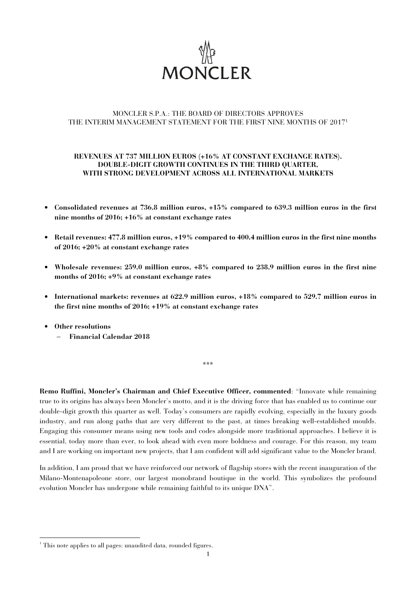

## MONCLER S.P.A.: THE BOARD OF DIRECTORS APPROVES THE INTERIM MANAGEMENT STATEMENT FOR THE FIRST NINE MONTHS OF 2017<sup>1</sup>

## **REVENUES AT 737 MILLION EUROS (+16% AT CONSTANT EXCHANGE RATES). DOUBLE-DIGIT GROWTH CONTINUES IN THE THIRD QUARTER, WITH STRONG DEVELOPMENT ACROSS ALL INTERNATIONAL MARKETS**

- **Consolidated revenues at 736.8 million euros, +15% compared to 639.3 million euros in the first nine months of 2016; +16% at constant exchange rates**
- **Retail revenues: 477.8 million euros, +19% compared to 400.4 million euros in the first nine months of 2016; +20% at constant exchange rates**
- **Wholesale revenues: 259.0 million euros, +8% compared to 238.9 million euros in the first nine months of 2016; +9% at constant exchange rates**
- **International markets: revenues at 622.9 million euros, +18% compared to 529.7 million euros in the first nine months of 2016; +19% at constant exchange rates**
- **Other resolutions**

l

− **Financial Calendar 2018** 

**Remo Ruffini, Moncler's Chairman and Chief Executive Officer, commented**: "Innovate while remaining true to its origins has always been Moncler's motto, and it is the driving force that has enabled us to continue our double-digit growth this quarter as well. Today's consumers are rapidly evolving, especially in the luxury goods industry, and run along paths that are very different to the past, at times breaking well-established moulds. Engaging this consumer means using new tools and codes alongside more traditional approaches. I believe it is essential, today more than ever, to look ahead with even more boldness and courage. For this reason, my team and I are working on important new projects, that I am confident will add significant value to the Moncler brand.

\*\*\*

In addition, I am proud that we have reinforced our network of flagship stores with the recent inauguration of the Milano-Montenapoleone store, our largest monobrand boutique in the world. This symbolizes the profound evolution Moncler has undergone while remaining faithful to its unique DNA".

<sup>&</sup>lt;sup>1</sup> This note applies to all pages: unaudited data, rounded figures.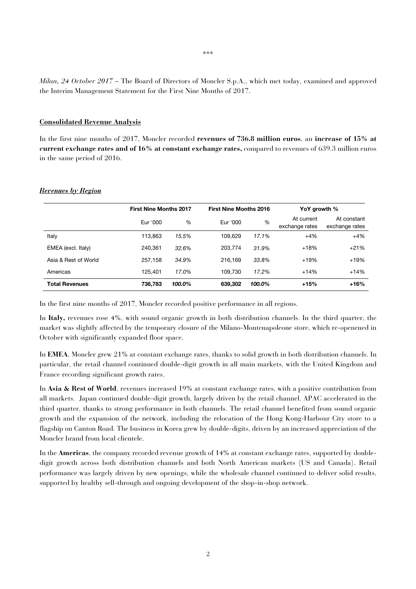*Milan, 24 October 2017* – The Board of Directors of Moncler S.p.A., which met today, examined and approved the Interim Management Statement for the First Nine Months of 2017.

#### **Consolidated Revenue Analysis**

In the first nine months of 2017, Moncler recorded **revenues of 736.8 million euros**, an **increase of 15% at current exchange rates and of 16% at constant exchange rates,** compared to revenues of 639.3 million euros in the same period of 2016.

|                       | <b>First Nine Months 2017</b> |        | <b>First Nine Months 2016</b> |          | YoY growth %                 |                               |
|-----------------------|-------------------------------|--------|-------------------------------|----------|------------------------------|-------------------------------|
|                       | Eur '000                      | %      | Eur '000                      | $\%$     | At current<br>exchange rates | At constant<br>exchange rates |
| Italy                 | 113.863                       | 15.5%  | 109.629                       | $17.1\%$ | $+4%$                        | $+4%$                         |
| EMEA (excl. Italy)    | 240.361                       | 32.6%  | 203.774                       | 31.9%    | $+18%$                       | $+21%$                        |
| Asia & Rest of World  | 257.158                       | 34.9%  | 216.169                       | 33.8%    | $+19%$                       | $+19%$                        |
| Americas              | 125.401                       | 17.0%  | 109.730                       | 17.2%    | $+14%$                       | $+14%$                        |
| <b>Total Revenues</b> | 736,783                       | 100.0% | 639,302                       | 100.0%   | $+15%$                       | $+16%$                        |

## *Revenues by Region*

In the first nine months of 2017, Moncler recorded positive performance in all regions.

In Italy, revenues rose 4%, with sound organic growth in both distribution channels. In the third quarter, the market was slightly affected by the temporary closure of the Milano-Montenapoleone store, which re-openened in October with significantly expanded floor space.

In **EMEA**, Moncler grew 21% at constant exchange rates, thanks to solid growth in both distribution channels. In particular, the retail channel continued double-digit growth in all main markets, with the United Kingdom and France recording significant growth rates.

In **Asia & Rest of World**, revenues increased 19% at constant exchange rates, with a positive contribution from all markets. Japan continued double-digit growth, largely driven by the retail channel. APAC accelerated in the third quarter, thanks to strong performance in both channels. The retail channel benefited from sound organic growth and the expansion of the network, including the relocation of the Hong Kong-Harbour City store to a flagship on Canton Road. The business in Korea grew by double-digits, driven by an increased appreciation of the Moncler brand from local clientele.

In the **Americas**, the company recorded revenue growth of 14% at constant exchange rates, supported by doubledigit growth across both distribution channels and both North American markets (US and Canada). Retail performance was largely driven by new openings, while the wholesale channel continued to deliver solid results, supported by healthy sell-through and ongoing development of the shop-in-shop network.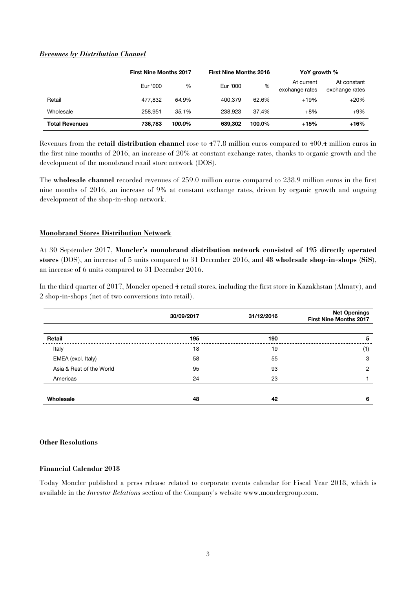## *Revenues by Distribution Channel*

|                       | <b>First Nine Months 2017</b> |        | <b>First Nine Months 2016</b> |        | YoY growth %                 |                               |
|-----------------------|-------------------------------|--------|-------------------------------|--------|------------------------------|-------------------------------|
|                       | Eur '000                      | %      | Eur '000                      | %      | At current<br>exchange rates | At constant<br>exchange rates |
| Retail                | 477.832                       | 64.9%  | 400.379                       | 62.6%  | $+19%$                       | $+20%$                        |
| Wholesale             | 258.951                       | 35.1%  | 238.923                       | 37.4%  | $+8%$                        | $+9\%$                        |
| <b>Total Revenues</b> | 736.783                       | 100.0% | 639,302                       | 100.0% | +15%                         | $+16%$                        |

Revenues from the **retail distribution channel** rose to 477.8 million euros compared to 400.4 million euros in the first nine months of 2016, an increase of 20% at constant exchange rates, thanks to organic growth and the development of the monobrand retail store network (DOS).

The **wholesale channel** recorded revenues of 259.0 million euros compared to 238.9 million euros in the first nine months of 2016, an increase of 9% at constant exchange rates, driven by organic growth and ongoing development of the shop-in-shop network.

## **Monobrand Stores Distribution Network**

At 30 September 2017, **Moncler's monobrand distribution network consisted of 195 directly operated stores** (DOS), an increase of 5 units compared to 31 December 2016, and **48 wholesale shop-in-shops (SiS)**, an increase of 6 units compared to 31 December 2016.

In the third quarter of 2017, Moncler opened 4 retail stores, including the first store in Kazakhstan (Almaty), and 2 shop-in-shops (net of two conversions into retail).

|                          | 30/09/2017 | 31/12/2016 | <b>Net Openings</b><br><b>First Nine Months 2017</b> |
|--------------------------|------------|------------|------------------------------------------------------|
| Retail                   | 195        | 190        | 5                                                    |
| Italy                    | 18         | 19         | (1)                                                  |
| EMEA (excl. Italy)       | 58         | 55         | 3                                                    |
| Asia & Rest of the World | 95         | 93         | 2                                                    |
| Americas                 | 24         | 23         |                                                      |
| Wholesale                | 48         | 42         | 6                                                    |

## **Other Resolutions**

## **Financial Calendar 2018**

Today Moncler published a press release related to corporate events calendar for Fiscal Year 2018, which is available in the *Investor Relations* section of the Company's website www.monclergroup.com.